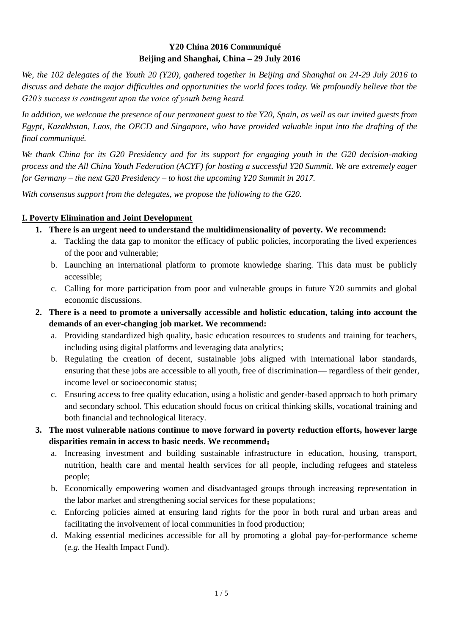## **Y20 China 2016 Communiqué Beijing and Shanghai, China – 29 July 2016**

*We, the 102 delegates of the Youth 20 (Y20), gathered together in Beijing and Shanghai on 24-29 July 2016 to discuss and debate the major difficulties and opportunities the world faces today. We profoundly believe that the G20's success is contingent upon the voice of youth being heard.* 

*In addition, we welcome the presence of our permanent guest to the Y20, Spain, as well as our invited guests from Egypt, Kazakhstan, Laos, the OECD and Singapore, who have provided valuable input into the drafting of the final communiqué.*

*We thank China for its G20 Presidency and for its support for engaging youth in the G20 decision-making process and the All China Youth Federation (ACYF) for hosting a successful Y20 Summit. We are extremely eager for Germany – the next G20 Presidency – to host the upcoming Y20 Summit in 2017.* 

*With consensus support from the delegates, we propose the following to the G20.*

### **I. Poverty Elimination and Joint Development**

- **1. There is an urgent need to understand the multidimensionality of poverty. We recommend:**
	- a. Tackling the data gap to monitor the efficacy of public policies, incorporating the lived experiences of the poor and vulnerable;
	- b. Launching an international platform to promote knowledge sharing. This data must be publicly accessible;
	- c. Calling for more participation from poor and vulnerable groups in future Y20 summits and global economic discussions.
- **2. There is a need to promote a universally accessible and holistic education, taking into account the demands of an ever-changing job market. We recommend:**
	- a. Providing standardized high quality, basic education resources to students and training for teachers, including using digital platforms and leveraging data analytics;
	- b. Regulating the creation of decent, sustainable jobs aligned with international labor standards, ensuring that these jobs are accessible to all youth, free of discrimination— regardless of their gender, income level or socioeconomic status;
	- c. Ensuring access to free quality education, using a holistic and gender-based approach to both primary and secondary school. This education should focus on critical thinking skills, vocational training and both financial and technological literacy.
- **3. The most vulnerable nations continue to move forward in poverty reduction efforts, however large disparities remain in access to basic needs. We recommend**:
	- a. Increasing investment and building sustainable infrastructure in education, housing, transport, nutrition, health care and mental health services for all people, including refugees and stateless people;
	- b. Economically empowering women and disadvantaged groups through increasing representation in the labor market and strengthening social services for these populations;
	- c. Enforcing policies aimed at ensuring land rights for the poor in both rural and urban areas and facilitating the involvement of local communities in food production;
	- d. Making essential medicines accessible for all by promoting a global pay-for-performance scheme (*e.g.* the Health Impact Fund).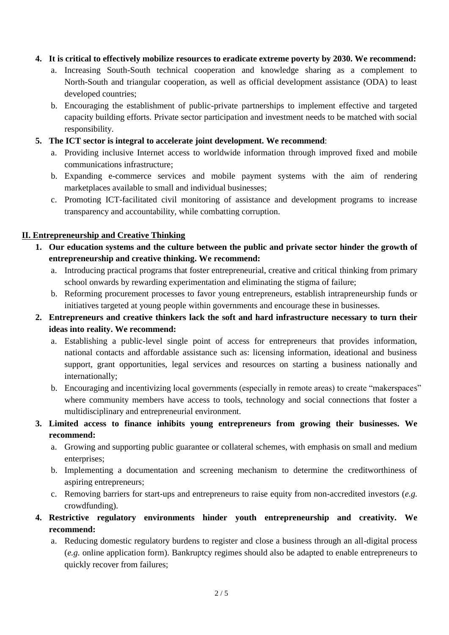#### **4. It is critical to effectively mobilize resources to eradicate extreme poverty by 2030. We recommend:**

- a. Increasing South-South technical cooperation and knowledge sharing as a complement to North-South and triangular cooperation, as well as official development assistance (ODA) to least developed countries;
- b. Encouraging the establishment of public-private partnerships to implement effective and targeted capacity building efforts. Private sector participation and investment needs to be matched with social responsibility.
- **5. The ICT sector is integral to accelerate joint development. We recommend**:
	- a. Providing inclusive Internet access to worldwide information through improved fixed and mobile communications infrastructure;
	- b. Expanding e-commerce services and mobile payment systems with the aim of rendering marketplaces available to small and individual businesses;
	- c. Promoting ICT-facilitated civil monitoring of assistance and development programs to increase transparency and accountability, while combatting corruption.

#### **II. Entrepreneurship and Creative Thinking**

- **1. Our education systems and the culture between the public and private sector hinder the growth of entrepreneurship and creative thinking. We recommend:**
	- a. Introducing practical programs that foster entrepreneurial, creative and critical thinking from primary school onwards by rewarding experimentation and eliminating the stigma of failure;
	- b. Reforming procurement processes to favor young entrepreneurs, establish intrapreneurship funds or initiatives targeted at young people within governments and encourage these in businesses.
- **2. Entrepreneurs and creative thinkers lack the soft and hard infrastructure necessary to turn their ideas into reality. We recommend:**
	- a. Establishing a public-level single point of access for entrepreneurs that provides information, national contacts and affordable assistance such as: licensing information, ideational and business support, grant opportunities, legal services and resources on starting a business nationally and internationally;
	- b. Encouraging and incentivizing local governments (especially in remote areas) to create "makerspaces" where community members have access to tools, technology and social connections that foster a multidisciplinary and entrepreneurial environment.
- **3. Limited access to finance inhibits young entrepreneurs from growing their businesses. We recommend:**
	- a. Growing and supporting public guarantee or collateral schemes, with emphasis on small and medium enterprises;
	- b. Implementing a documentation and screening mechanism to determine the creditworthiness of aspiring entrepreneurs;
	- c. Removing barriers for start-ups and entrepreneurs to raise equity from non-accredited investors (*e.g.* crowdfunding).
- **4. Restrictive regulatory environments hinder youth entrepreneurship and creativity. We recommend:**
	- a. Reducing domestic regulatory burdens to register and close a business through an all-digital process (*e.g.* online application form). Bankruptcy regimes should also be adapted to enable entrepreneurs to quickly recover from failures;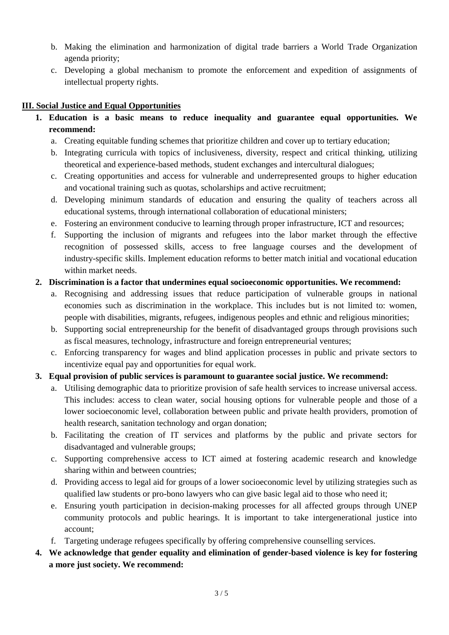- b. Making the elimination and harmonization of digital trade barriers a World Trade Organization agenda priority;
- c. Developing a global mechanism to promote the enforcement and expedition of assignments of intellectual property rights.

## **III. Social Justice and Equal Opportunities**

- **1. Education is a basic means to reduce inequality and guarantee equal opportunities. We recommend:**
	- a. Creating equitable funding schemes that prioritize children and cover up to tertiary education;
	- b. Integrating curricula with topics of inclusiveness, diversity, respect and critical thinking, utilizing theoretical and experience-based methods, student exchanges and intercultural dialogues;
	- c. Creating opportunities and access for vulnerable and underrepresented groups to higher education and vocational training such as quotas, scholarships and active recruitment;
	- d. Developing minimum standards of education and ensuring the quality of teachers across all educational systems, through international collaboration of educational ministers;
	- e. Fostering an environment conducive to learning through proper infrastructure, ICT and resources;
	- f. Supporting the inclusion of migrants and refugees into the labor market through the effective recognition of possessed skills, access to free language courses and the development of industry-specific skills. Implement education reforms to better match initial and vocational education within market needs.

### **2. Discrimination is a factor that undermines equal socioeconomic opportunities. We recommend:**

- a. Recognising and addressing issues that reduce participation of vulnerable groups in national economies such as discrimination in the workplace. This includes but is not limited to: women, people with disabilities, migrants, refugees, indigenous peoples and ethnic and religious minorities;
- b. Supporting social entrepreneurship for the benefit of disadvantaged groups through provisions such as fiscal measures, technology, infrastructure and foreign entrepreneurial ventures;
- c. Enforcing transparency for wages and blind application processes in public and private sectors to incentivize equal pay and opportunities for equal work.

### **3. Equal provision of public services is paramount to guarantee social justice. We recommend:**

- a. Utilising demographic data to prioritize provision of safe health services to increase universal access. This includes: access to clean water, social housing options for vulnerable people and those of a lower socioeconomic level, collaboration between public and private health providers, promotion of health research, sanitation technology and organ donation;
- b. Facilitating the creation of IT services and platforms by the public and private sectors for disadvantaged and vulnerable groups;
- c. Supporting comprehensive access to ICT aimed at fostering academic research and knowledge sharing within and between countries;
- d. Providing access to legal aid for groups of a lower socioeconomic level by utilizing strategies such as qualified law students or pro-bono lawyers who can give basic legal aid to those who need it;
- e. Ensuring youth participation in decision-making processes for all affected groups through UNEP community protocols and public hearings. It is important to take intergenerational justice into account;
- f. Targeting underage refugees specifically by offering comprehensive counselling services.

# **4. We acknowledge that gender equality and elimination of gender-based violence is key for fostering a more just society. We recommend:**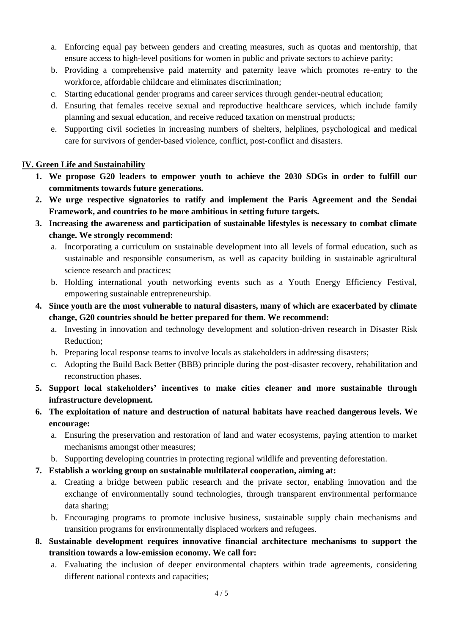- a. Enforcing equal pay between genders and creating measures, such as quotas and mentorship, that ensure access to high-level positions for women in public and private sectors to achieve parity;
- b. Providing a comprehensive paid maternity and paternity leave which promotes re-entry to the workforce, affordable childcare and eliminates discrimination;
- c. Starting educational gender programs and career services through gender-neutral education;
- d. Ensuring that females receive sexual and reproductive healthcare services, which include family planning and sexual education, and receive reduced taxation on menstrual products;
- e. Supporting civil societies in increasing numbers of shelters, helplines, psychological and medical care for survivors of gender-based violence, conflict, post-conflict and disasters.

### **IV. Green Life and Sustainability**

- **1. We propose G20 leaders to empower youth to achieve the 2030 SDGs in order to fulfill our commitments towards future generations.**
- **2. We urge respective signatories to ratify and implement the Paris Agreement and the Sendai Framework, and countries to be more ambitious in setting future targets.**
- **3. Increasing the awareness and participation of sustainable lifestyles is necessary to combat climate change. We strongly recommend:**
	- a. Incorporating a curriculum on sustainable development into all levels of formal education, such as sustainable and responsible consumerism, as well as capacity building in sustainable agricultural science research and practices;
	- b. Holding international youth networking events such as a Youth Energy Efficiency Festival, empowering sustainable entrepreneurship.
- **4. Since youth are the most vulnerable to natural disasters, many of which are exacerbated by climate change, G20 countries should be better prepared for them. We recommend:**
	- a. Investing in innovation and technology development and solution-driven research in Disaster Risk Reduction;
	- b. Preparing local response teams to involve locals as stakeholders in addressing disasters;
	- c. Adopting the Build Back Better (BBB) principle during the post-disaster recovery, rehabilitation and reconstruction phases.
- **5. Support local stakeholders' incentives to make cities cleaner and more sustainable through infrastructure development.**
- **6. The exploitation of nature and destruction of natural habitats have reached dangerous levels. We encourage:**
	- a. Ensuring the preservation and restoration of land and water ecosystems, paying attention to market mechanisms amongst other measures;
	- b. Supporting developing countries in protecting regional wildlife and preventing deforestation.
- **7. Establish a working group on sustainable multilateral cooperation, aiming at:**
	- a. Creating a bridge between public research and the private sector, enabling innovation and the exchange of environmentally sound technologies, through transparent environmental performance data sharing;
	- b. Encouraging programs to promote inclusive business, sustainable supply chain mechanisms and transition programs for environmentally displaced workers and refugees.
- **8. Sustainable development requires innovative financial architecture mechanisms to support the transition towards a low-emission economy. We call for:**
	- a. Evaluating the inclusion of deeper environmental chapters within trade agreements, considering different national contexts and capacities;